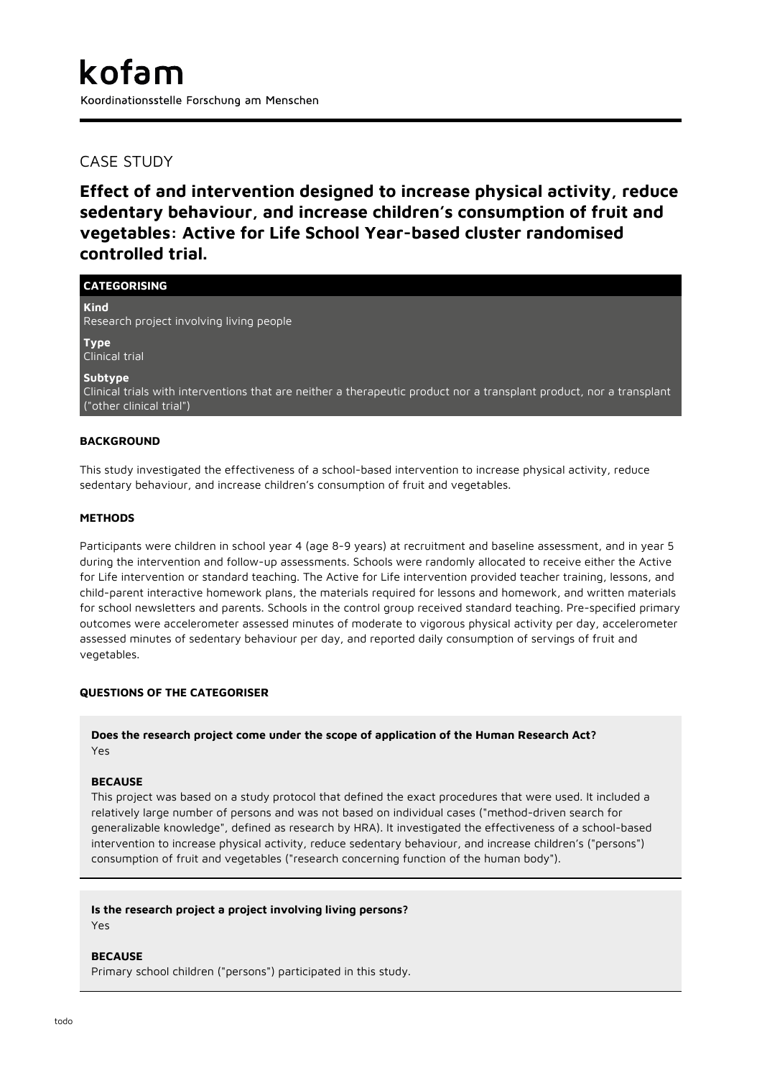# CASE STUDY

**Effect of and intervention designed to increase physical activity, reduce sedentary behaviour, and increase children's consumption of fruit and vegetables: Active for Life School Year-based cluster randomised controlled trial.**

| <b>CATEGORISING</b>                                                                                                       |
|---------------------------------------------------------------------------------------------------------------------------|
| <b>Kind</b><br>Research project involving living people                                                                   |
| <b>Type</b><br>Clinical trial                                                                                             |
| Subtype<br>AP Contract to the Contract of the Contract of the Contract of Contract of Contract of Contract of Contract of |

Clinical trials with interventions that are neither a therapeutic product nor a transplant product, nor a transplant ("other clinical trial")

# **BACKGROUND**

This study investigated the effectiveness of a school-based intervention to increase physical activity, reduce sedentary behaviour, and increase children's consumption of fruit and vegetables.

## **METHODS**

Participants were children in school year 4 (age 8-9 years) at recruitment and baseline assessment, and in year 5 during the intervention and follow-up assessments. Schools were randomly allocated to receive either the Active for Life intervention or standard teaching. The Active for Life intervention provided teacher training, lessons, and child-parent interactive homework plans, the materials required for lessons and homework, and written materials for school newsletters and parents. Schools in the control group received standard teaching. Pre-specified primary outcomes were accelerometer assessed minutes of moderate to vigorous physical activity per day, accelerometer assessed minutes of sedentary behaviour per day, and reported daily consumption of servings of fruit and vegetables.

# **QUESTIONS OF THE CATEGORISER**

# **Does the research project come under the scope of application of the Human Research Act?** Yes

#### **BECAUSE**

This project was based on a study protocol that defined the exact procedures that were used. It included a relatively large number of persons and was not based on individual cases ("method-driven search for generalizable knowledge", defined as research by HRA). It investigated the effectiveness of a school-based intervention to increase physical activity, reduce sedentary behaviour, and increase children's ("persons") consumption of fruit and vegetables ("research concerning function of the human body").

# **Is the research project a project involving living persons?**

Yes

#### **BECAUSE**

Primary school children ("persons") participated in this study.